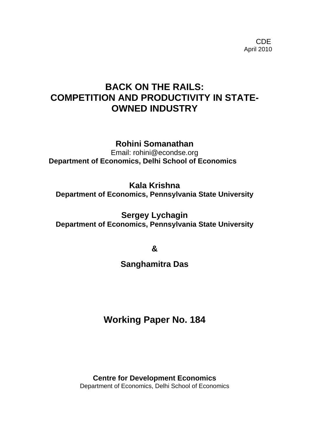**CDE COLLECTION** April 2010

# **BACK ON THE RAILS: COMPETITION AND PRODUCTIVITY IN STATE-OWNED INDUSTRY**

**Rohini Somanathan** 

Email: rohini@econdse.org **Department of Economics, Delhi School of Economics**

**Kala Krishna Department of Economics, Pennsylvania State University** 

**Sergey Lychagin Department of Economics, Pennsylvania State University** 

**&** 

**Sanghamitra Das** 

**Working Paper No. 184** 

**Centre for Development Economics**  Department of Economics, Delhi School of Economics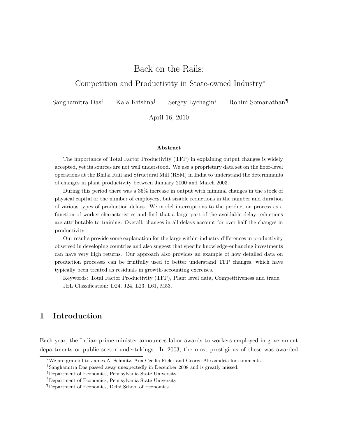## Back on the Rails:

### Competition and Productivity in State-owned Industry<sup>∗</sup>

Sanghamitra Das† Kala Krishna‡ Sergey Lychagin§ Rohini Somanathan¶

April 16, 2010

#### Abstract

The importance of Total Factor Productivity (TFP) in explaining output changes is widely accepted, yet its sources are not well understood. We use a proprietary data set on the floor-level operations at the Bhilai Rail and Structural Mill (RSM) in India to understand the determinants of changes in plant productivity between January 2000 and March 2003.

During this period there was a 35% increase in output with minimal changes in the stock of physical capital or the number of employees, but sizable reductions in the number and duration of various types of production delays. We model interruptions to the production process as a function of worker characteristics and find that a large part of the avoidable delay reductions are attributable to training. Overall, changes in all delays account for over half the changes in productivity.

Our results provide some explanation for the large within-industry differences in productivity observed in developing countries and also suggest that specific knowledge-enhancing investments can have very high returns. Our approach also provides an example of how detailed data on production processes can be fruitfully used to better understand TFP changes, which have typically been treated as residuals in growth-accounting exercises.

Keywords: Total Factor Productivity (TFP), Plant level data, Competitiveness and trade. JEL Classification: D24, J24, L23, L61, M53.

### 1 Introduction

Each year, the Indian prime minister announces labor awards to workers employed in government departments or public sector undertakings. In 2003, the most prestigious of these was awarded

<sup>∗</sup>We are grateful to James A. Schmitz, Ana Cecilia Fieler and George Alessandria for comments.

<sup>†</sup>Sanghamitra Das passed away unexpectedly in December 2008 and is greatly missed.

<sup>‡</sup>Department of Economics, Pennsylvania State University

<sup>§</sup>Department of Economics, Pennsylvania State University

<sup>¶</sup>Department of Economics, Delhi School of Economics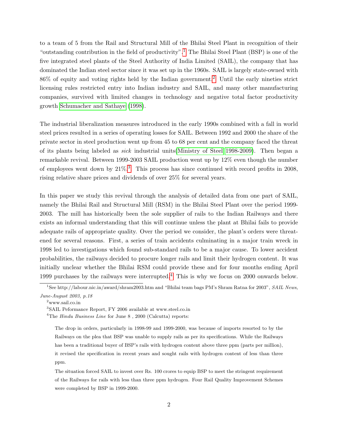to a team of 5 from the Rail and Structural Mill of the Bhilai Steel Plant in recognition of their "outstanding contribution in the field of productivity".<sup>[1](#page-2-0)</sup> The Bhilai Steel Plant (BSP) is one of the five integrated steel plants of the Steel Authority of India Limited (SAIL), the company that has dominated the Indian steel sector since it was set up in the 1960s. SAIL is largely state-owned with  $86\%$  of equity and voting rights held by the Indian government.<sup>[2](#page-2-1)</sup> Until the early nineties strict licensing rules restricted entry into Indian industry and SAIL, and many other manufacturing companies, survived with limited changes in technology and negative total factor productivity growth [Schumacher and Sathaye \(1998\)](#page-32-0).

The industrial liberalization measures introduced in the early 1990s combined with a fall in world steel prices resulted in a series of operating losses for SAIL. Between 1992 and 2000 the share of the private sector in steel production went up from 45 to 68 per cent and the company faced the threat of its plants being labeled as sick industrial units[\(Ministry of Steel 1998-2009\)](#page-31-0). Then began a remarkable revival. Between 1999-2003 SAIL production went up by 12% even though the number of employees went down by  $21\%.$ <sup>[3](#page-2-2)</sup>. This process has since continued with record profits in 2008, rising relative share prices and dividends of over 25% for several years.

In this paper we study this revival through the analysis of detailed data from one part of SAIL, namely the Bhilai Rail and Structural Mill (RSM) in the Bhilai Steel Plant over the period 1999- 2003. The mill has historically been the sole supplier of rails to the Indian Railways and there exists an informal understanding that this will continue unless the plant at Bhilai fails to provide adequate rails of appropriate quality. Over the period we consider, the plant's orders were threatened for several reasons. First, a series of train accidents culminating in a major train wreck in 1998 led to investigations which found sub-standard rails to be a major cause. To lower accident probabilities, the railways decided to procure longer rails and limit their hydrogen content. It was initially unclear whether the Bhilai RSM could provide these and for four months ending April 1999 purchases by the railways were interrupted.[4](#page-2-3) This is why we focus on 2000 onwards below.

<span id="page-2-0"></span><sup>&</sup>lt;sup>1</sup>See http://labour.nic.in/award/shram2003.htm and "Bhilai team bags PM's Shram Ratna for 2003", SAIL News, June-August 2003, p.18

<span id="page-2-2"></span><span id="page-2-1"></span><sup>2</sup>www.sail.co.in

<span id="page-2-3"></span><sup>3</sup>SAIL Peformance Report, FY 2006 available at www.steel.co.in

<sup>&</sup>lt;sup>4</sup>The *Hindu Business Line* for June  $8$ , 2000 (Calcutta) reports:

The drop in orders, particularly in 1998-99 and 1999-2000, was because of imports resorted to by the Railways on the plea that BSP was unable to supply rails as per its specifications. While the Railways has been a traditional buyer of BSP's rails with hydrogen content above three ppm (parts per million), it revised the specification in recent years and sought rails with hydrogen content of less than three ppm.

The situation forced SAIL to invest over Rs. 100 crores to equip BSP to meet the stringent requirement of the Railways for rails with less than three ppm hydrogen. Four Rail Quality Improvement Schemes were completed by BSP in 1999-2000.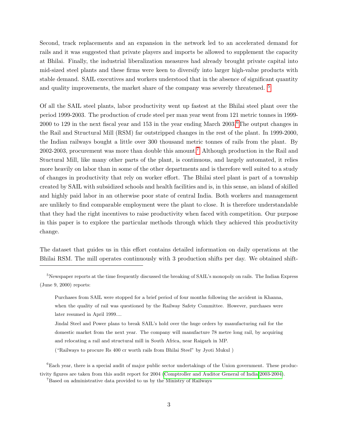Second, track replacements and an expansion in the network led to an accelerated demand for rails and it was suggested that private players and imports be allowed to supplement the capacity at Bhilai. Finally, the industrial liberalization measures had already brought private capital into mid-sized steel plants and these firms were keen to diversify into larger high-value products with stable demand. SAIL executives and workers understood that in the absence of significant quantity and quality improvements, the market share of the company was severely threatened. [5](#page-3-0)

Of all the SAIL steel plants, labor productivity went up fastest at the Bhilai steel plant over the period 1999-2003. The production of crude steel per man year went from 121 metric tonnes in 1999-  $2000$  to 129 in the next fiscal year and 153 in the year ending March  $2003.6$  $2003.6$ The output changes in the Rail and Structural Mill (RSM) far outstripped changes in the rest of the plant. In 1999-2000, the Indian railways bought a little over 300 thousand metric tonnes of rails from the plant. By 2002-2003, procurement was more than double this amount.[7](#page-3-2) Although production in the Rail and Stuctural Mill, like many other parts of the plant, is continuous, and largely automated, it relies more heavily on labor than in some of the other departments and is therefore well suited to a study of changes in productivity that rely on worker effort. The Bhilai steel plant is part of a township created by SAIL with subsidized schools and health facilities and is, in this sense, an island of skilled and highly paid labor in an otherwise poor state of central India. Both workers and management are unlikely to find comparable employment were the plant to close. It is therefore understandable that they had the right incentives to raise productivity when faced with competition. Our purpose in this paper is to explore the particular methods through which they achieved this productivity change.

The dataset that guides us in this effort contains detailed information on daily operations at the Bhilai RSM. The mill operates continuously with 3 production shifts per day. We obtained shift-

("Railways to procure Rs 400 cr worth rails from Bhilai Steel" by Jyoti Mukul )

<span id="page-3-0"></span><sup>&</sup>lt;sup>5</sup>Newspaper reports at the time frequently discussed the breaking of SAIL's monopoly on rails. The Indian Express (June 9, 2000) reports:

Purchases from SAIL were stopped for a brief period of four months following the accident in Khanna, when the quality of rail was questioned by the Railway Safety Committee. However, purchases were later resumed in April 1999....

Jindal Steel and Power plans to break SAIL's hold over the huge orders by manufacturing rail for the domestic market from the next year. The company will manufacture 78 metre long rail, by acquiring and relocating a rail and structural mill in South Africa, near Raigarh in MP.

<span id="page-3-1"></span><sup>&</sup>lt;sup>6</sup>Each year, there is a special audit of major public sector undertakings of the Union government. These productivity figures are taken from this audit report for 2004 [\(Comptroller and Auditor General of India 2003-2004\)](#page-31-1).

<span id="page-3-2"></span><sup>7</sup>Based on administrative data provided to us by the Ministry of Railways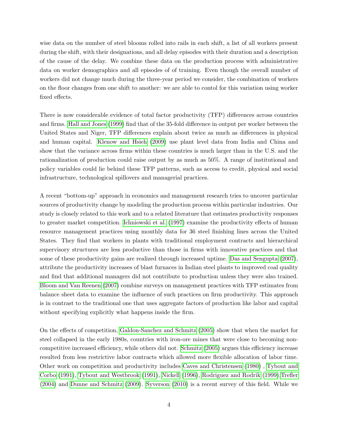wise data on the number of steel blooms rolled into rails in each shift, a list of all workers present during the shift, with their designations, and all delay episodes with their duration and a description of the cause of the delay. We combine these data on the production process with administrative data on worker demographics and all episodes of of training. Even though the overall number of workers did not change much during the three-year period we consider, the combination of workers on the floor changes from one shift to another: we are able to contol for this variation using worker fixed effects.

There is now considerable evidence of total factor productivity (TFP) differences across countries and firms. [Hall and Jones \(1999\)](#page-31-2) find that of the 35-fold difference in output per worker between the United States and Niger, TFP differences explain about twice as much as differences in physical and human capital. [Klenow and Hsieh \(2009\)](#page-31-3) use plant level data from India and China and show that the variance across firms within these countries is much larger than in the U.S. and the rationalization of production could raise output by as much as 50%. A range of institutional and policy variables could lie behind these TFP patterns, such as access to credit, physical and social infrastructure, technological spillovers and managerial practices.

A recent "bottom-up" approach in economics and management research tries to uncover particular sources of productivity change by modeling the production process within particular industries. Our study is closely related to this work and to a related literature that estimates productivity responses to greater market competition. [Ichniowski et al. \(1997\)](#page-31-4) examine the productivity effects of human resource management practices using monthly data for 36 steel finishing lines across the United States. They find that workers in plants with traditional employment contracts and hierarchical supervisory structures are less productive than those in firms with innovative practices and that some of these productivity gains are realized through increased uptime. [Das and Sengupta \(2007\)](#page-31-5), attribute the productivity increases of blast furnaces in Indian steel plants to improved coal quality and find that additional managers did not contribute to production unless they were also trained. [Bloom and Van Reenen \(2007\)](#page-30-0) combine surveys on management practices with TFP estimates from balance sheet data to examine the influence of such practices on firm productivity. This approach is in contrast to the traditional one that uses aggregate factors of production like labor and capital without specifying explicitly what happens inside the firm.

On the effects of competition, [Galdon-Sanchez and Schmitz \(2005\)](#page-31-6) show that when the market for steel collapsed in the early 1980s, countries with iron-ore mines that were close to becoming noncompetitive increased efficiency, while others did not. [Schmitz \(2005\)](#page-32-1) argues this efficiency increase resulted from less restrictive labor contracts which allowed more flexible allocation of labor time. Other work on competition and productivity includes [Caves and Christensen \(1980\)](#page-30-1), [Tybout and](#page-32-2) [Corbo \(1991\)](#page-32-2), [Tybout and Westbrook \(1991\)](#page-32-3), [Nickell \(1996\)](#page-31-7), [Rodriguez and Rodrik \(1999\)](#page-31-8)[,Trefler](#page-32-4) [\(2004\)](#page-32-4) and [Dunne and Schmitz \(2009\)](#page-31-9). [Syverson \(2010\)](#page-32-5) is a recent survey of this field. While we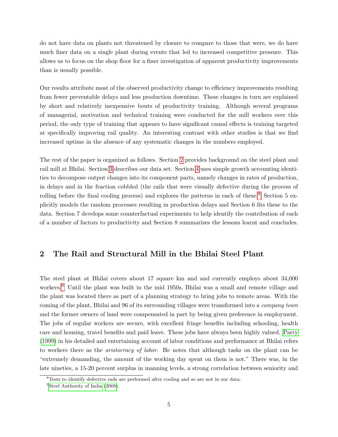do not have data on plants not threatened by closure to compare to those that were, we do have much finer data on a single plant during events that led to increased competitive pressure. This allows us to focus on the shop floor for a finer investigation of apparent productivity improvements than is usually possible.

Our results attribute most of the observed productivity change to efficiency improvements resulting from fewer preventable delays and less production downtime. These changes in turn are explained by short and relatively inexpensive bouts of productivity training. Although several programs of managerial, motivation and technical training were conducted for the mill workers over this period, the only type of training that appears to have significant causal effects is training targeted at specifically improving rail quality. An interesting contrast with other studies is that we find increased uptime in the absence of any systematic changes in the numbers employed.

The rest of the paper is organized as follows. Section [2](#page-5-0) provides background on the steel plant and rail mill at Bhilai. Section [3](#page-8-0) describes our data set. Section [4](#page-11-0) uses simple growth accounting identities to decompose output changes into its component parts, namely changes in rates of production, in delays and in the fraction cobbled (the rails that were visually defective during the process of rolling before the final cooling process) and explores the patterns in each of these.<sup>[8](#page-5-1)</sup> Section 5 explicitly models the random processes resulting in production delays and Section 6 fits these to the data. Section 7 develops some counterfactual experiments to help identify the contribution of each of a number of factors to productivity and Section 8 summarizes the lessons learnt and concludes.

### <span id="page-5-0"></span>2 The Rail and Structural Mill in the Bhilai Steel Plant

The steel plant at Bhilai covers about 17 square km and and currently employs about 34,000 workers.[9](#page-5-2) Until the plant was built in the mid 1950s, Bhilai was a small and remote village and the plant was located there as part of a planning strategy to bring jobs to remote areas. With the coming of the plant, Bhilai and 96 of its surrounding villages were transformed into a company town and the former owners of land were compensated in part by being given preference in employment. The jobs of regular workers are secure, with excellent fringe benefits including schooling, health care and housing, travel benefits and paid leave. These jobs have always been highly valued. [Parry](#page-31-10) [\(1999\)](#page-31-10) in his detailed and entertaining account of labor conditions and performance at Bhilai refers to workers there as the *aristocracy of labor*. He notes that although tasks on the plant can be "extremely demanding, the amount of the working day spent on them is not." There was, in the late nineties, a 15-20 percent surplus in manning levels, a strong correlation between seniority and

<span id="page-5-2"></span><span id="page-5-1"></span><sup>8</sup>Tests to identify defective rails are performed after cooling and so are not in our data.

<sup>&</sup>lt;sup>9</sup>[Steel Authority of India](#page-32-6) [\(2008\)](#page-32-6).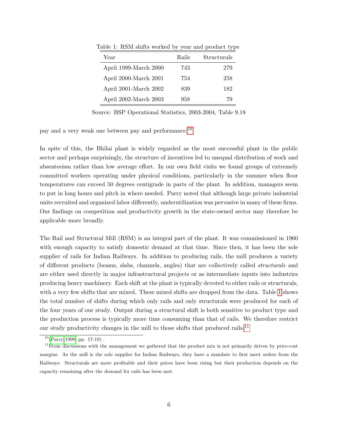| Year                  | Rails | Structurals |
|-----------------------|-------|-------------|
| April 1999-March 2000 | 743   | 279         |
| April 2000-March 2001 | 754   | 258         |
| April 2001-March 2002 | 839   | 182         |
| April 2002-March 2003 | 958   | 79          |

<span id="page-6-1"></span>Table 1: RSM shifts worked by year and product type

Source: BSP Operational Statistics, 2003-2004, Table 9.18

pay and a very weak one between pay and performance.[10](#page-6-0)

In spite of this, the Bhilai plant is widely regarded as the most successful plant in the public sector and perhaps surprisingly, the structure of incentives led to unequal distribution of work and absenteeism rather than low average effort. In our own field visits we found groups of extremely committed workers operating under physical conditions, particularly in the summer when floor temperatures can exceed 50 degrees centigrade in parts of the plant. In addition, managers seem to put in long hours and pitch in where needed. Parry noted that although large private industrial units recruited and organized labor differently, underutilization was pervasive in many of these firms. Our findings on competition and productivity growth in the state-owned sector may therefore be applicable more broadly.

The Rail and Structural Mill (RSM) is an integral part of the plant. It was commissioned in 1960 with enough capacity to satisfy domestic demand at that time. Since then, it has been the sole supplier of rails for Indian Railways. In addition to producing rails, the mill produces a variety of different products (beams, slabs, channels, angles) that are collectively called structurals and are either used directly in major infrastructural projects or as intermediate inputs into industries producing heavy machinery. Each shift at the plant is typically devoted to either rails or structurals, with a very few shifts that are mixed. These mixed shifts are dropped from the data. Table [1](#page-6-1) shows the total number of shifts during which only rails and only structurals were produced for each of the four years of our study. Output during a structural shift is both sensitive to product type and the production process is typically more time consuming than that of rails. We therefore restrict our study productivity changes in the mill to those shifts that produced rails.<sup>[11](#page-6-2)</sup>

<span id="page-6-2"></span><span id="page-6-0"></span> $10(Parry 1999; pp. 17-19)$  $10(Parry 1999; pp. 17-19)$  $10(Parry 1999; pp. 17-19)$ .

<sup>&</sup>lt;sup>11</sup>From discussions with the management we gathered that the product mix is not primarily driven by price-cost margins. As the mill is the sole supplier for Indian Railways, they have a mandate to first meet orders from the Railways. Structurals are more profitable and their prices have been rising but their production depends on the capacity remaining after the demand for rails has been met.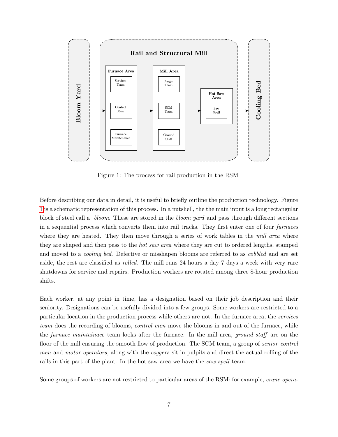

<span id="page-7-0"></span>Figure 1: The process for rail production in the RSM

Before describing our data in detail, it is useful to briefly outline the production technology. Figure [1](#page-7-0) is a schematic representation of this process. In a nutshell, the the main input is a long rectangular block of steel call a bloom. These are stored in the bloom yard and pass through different sections in a sequential process which converts them into rail tracks. They first enter one of four furnaces where they are heated. They then move through a series of work tables in the *mill area* where they are shaped and then pass to the *hot saw area* where they are cut to ordered lengths, stamped and moved to a cooling bed. Defective or misshapen blooms are referred to as cobbled and are set aside, the rest are classified as rolled. The mill runs 24 hours a day 7 days a week with very rare shutdowns for service and repairs. Production workers are rotated among three 8-hour production shifts.

Each worker, at any point in time, has a designation based on their job description and their seniority. Designations can be usefully divided into a few groups. Some workers are restricted to a particular location in the production process while others are not. In the furnace area, the services team does the recording of blooms, *control men* move the blooms in and out of the furnace, while the furnace maintainace team looks after the furnace. In the mill area, ground staff are on the floor of the mill ensuring the smooth flow of production. The SCM team, a group of senior control men and motor operators, along with the coggers sit in pulpits and direct the actual rolling of the rails in this part of the plant. In the hot saw area we have the *saw spell* team.

Some groups of workers are not restricted to particular areas of the RSM: for example, crane opera-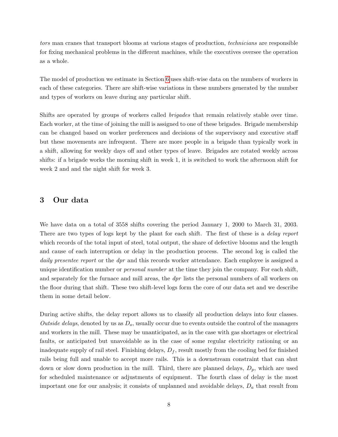tors man cranes that transport blooms at various stages of production, technicians are responsible for fixing mechanical problems in the different machines, while the executives oversee the operation as a whole.

The model of production we estimate in Section [6](#page-21-0) uses shift-wise data on the numbers of workers in each of these categories. There are shift-wise variations in these numbers generated by the number and types of workers on leave during any particular shift.

Shifts are operated by groups of workers called brigades that remain relatively stable over time. Each worker, at the time of joining the mill is assigned to one of these brigades. Brigade membership can be changed based on worker preferences and decisions of the supervisory and executive staff but these movements are infrequent. There are more people in a brigade than typically work in a shift, allowing for weekly days off and other types of leave. Brigades are rotated weekly across shifts: if a brigade works the morning shift in week 1, it is switched to work the afternoon shift for week 2 and and the night shift for week 3.

### <span id="page-8-0"></span>3 Our data

We have data on a total of 3558 shifts covering the period January 1, 2000 to March 31, 2003. There are two types of logs kept by the plant for each shift. The first of these is a *delay report* which records of the total input of steel, total output, the share of defective blooms and the length and cause of each interruption or delay in the production process. The second log is called the daily presentee report or the dpr and this records worker attendance. Each employee is assigned a unique identification number or *personal number* at the time they join the company. For each shift, and separately for the furnace and mill areas, the *dpr* lists the personal numbers of all workers on the floor during that shift. These two shift-level logs form the core of our data set and we describe them in some detail below.

During active shifts, the delay report allows us to classify all production delays into four classes. Outside delays, denoted by us as  $D<sub>o</sub>$ , usually occur due to events outside the control of the managers and workers in the mill. These may be unanticipated, as in the case with gas shortages or electrical faults, or anticipated but unavoidable as in the case of some regular electricity rationing or an inadequate supply of rail steel. Finishing delays,  $D_f$ , result mostly from the cooling bed for finished rails being full and unable to accept more rails. This is a downstream constraint that can shut down or slow down production in the mill. Third, there are planned delays,  $D_p$ , which are used for scheduled maintenance or adjustments of equipment. The fourth class of delay is the most important one for our analysis; it consists of unplanned and avoidable delays,  $D_a$  that result from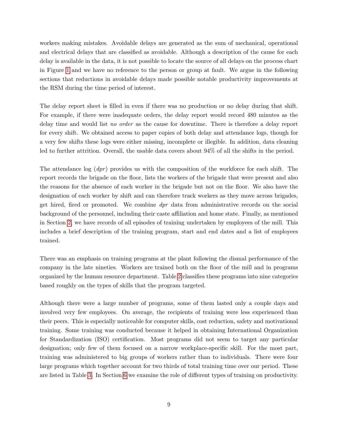workers making mistakes. Avoidable delays are generated as the sum of mechanical, operational and electrical delays that are classified as avoidable. Although a description of the cause for each delay is available in the data, it is not possible to locate the source of all delays on the process chart in Figure [1](#page-7-0) and we have no reference to the person or group at fault. We argue in the following sections that reductions in avoidable delays made possible notable productivity improvements at the RSM during the time period of interest.

The delay report sheet is filled in even if there was no production or no delay during that shift. For example, if there were inadequate orders, the delay report would record 480 minutes as the delay time and would list no order as the cause for downtime. There is therefore a delay report for every shift. We obtained access to paper copies of both delay and attendance logs, though for a very few shifts these logs were either missing, incomplete or illegible. In addition, data cleaning led to further attrition. Overall, the usable data covers about 94% of all the shifts in the period.

The attendance log  $(dpr)$  provides us with the composition of the workforce for each shift. The report records the brigade on the floor, lists the workers of the brigade that were present and also the reasons for the absence of each worker in the brigade but not on the floor. We also have the designation of each worker by shift and can therefore track workers as they move across brigades, get hired, fired or promoted. We combine dpr data from administrative records on the social background of the personnel, including their caste affiliation and home state. Finally, as mentioned in Section [2,](#page-5-0) we have records of all episodes of training undertaken by employees of the mill. This includes a brief description of the training program, start and end dates and a list of employees trained.

There was an emphasis on training programs at the plant following the dismal performance of the company in the late nineties. Workers are trained both on the floor of the mill and in programs organized by the human resource department. Table [2](#page-10-0) classifies these programs into nine categories based roughly on the types of skills that the program targeted.

Although there were a large number of programs, some of them lasted only a couple days and involved very few employees. On average, the recipients of training were less experienced than their peers. This is especially noticeable for computer skills, cost reduction, safety and motivational training. Some training was conducted because it helped in obtaining International Organization for Standardization (ISO) certification. Most programs did not seem to target any particular designation; only few of them focused on a narrow workplace-specific skill. For the most part, training was administered to big groups of workers rather than to individuals. There were four large programs which together account for two thirds of total training time over our period. These are listed in Table [3.](#page-10-1) In Section [6](#page-21-0) we examine the role of different types of training on productivity.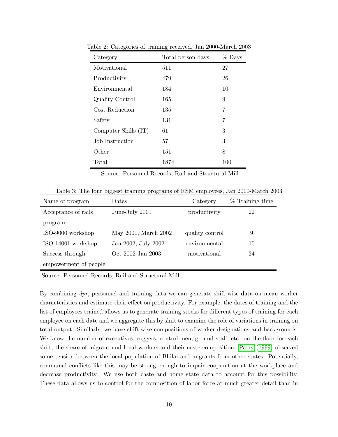| Category             | Total person days | $\%$ Days |
|----------------------|-------------------|-----------|
| Motivational         | 511               | 27        |
| Productivity         | 479               | 26        |
| Environmental        | 184               | 10        |
| Quality Control      | 165               | 9         |
| Cost Reduction       | 135               | 7         |
| Safety               | 131               | 7         |
| Computer Skills (IT) | 61                | 3         |
| Job Instruction      | 57                | 3         |
| Other                | 151               | 8         |
| Total                | 1874              | 100       |

<span id="page-10-0"></span>Table 2: Categories of training received, Jan 2000-March 2003

<span id="page-10-1"></span>Source: Personnel Records, Rail and Structural Mill

Table 3: The four biggest training programs of RSM employees, Jan 2000-March 2003

| Name of program       | Dates                | Category        | % Training time |
|-----------------------|----------------------|-----------------|-----------------|
| Acceptance of rails   | June-July 2001       | productivity    | 22              |
| program               |                      |                 |                 |
| ISO-9000 workshop     | May 2001, March 2002 | quality control | 9               |
| ISO-14001 workshop    | Jan 2002, July 2002  | environmental   | 10              |
| Success through       | Oct 2002-Jan 2003    | motivational    | 24              |
| empowerment of people |                      |                 |                 |

Source: Personnel Records, Rail and Structural Mill

By combining dpr, personnel and training data we can generate shift-wise data on mean worker characteristics and estimate their effect on productivity. For example, the dates of training and the list of employees trained allows us to generate training stocks for different types of training for each employee on each date and we aggregate this by shift to examine the role of variations in training on total output. Similarly, we have shift-wise compositions of worker designations and backgrounds. We know the number of executives, coggers, control men, ground staff, etc. on the floor for each shift, the share of migrant and local workers and their caste composition. [Parry \(1999\)](#page-31-10) observed some tension between the local population of Bhilai and migrants from other states. Potentially, communal conflicts like this may be strong enough to impair cooperation at the workplace and decrease productivity. We use both caste and home state data to account for this possibility. These data allows us to control for the composition of labor force at much greater detail than in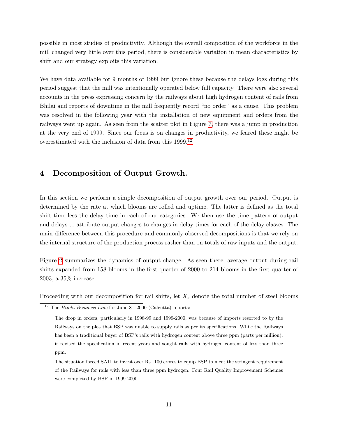possible in most studies of productivity. Although the overall composition of the workforce in the mill changed very little over this period, there is considerable variation in mean characteristics by shift and our strategy exploits this variation.

We have data available for 9 months of 1999 but ignore these because the delays logs during this period suggest that the mill was intentionally operated below full capacity. There were also several accounts in the press expressing concern by the railways about high hydrogen content of rails from Bhilai and reports of downtime in the mill frequently record "no order" as a cause. This problem was resolved in the following year with the installation of new equipment and orders from the railways went up again. As seen from the scatter plot in Figure [7,](#page-17-0) there was a jump in production at the very end of 1999. Since our focus is on changes in productivity, we feared these might be overestimated with the inclusion of data from this 1999.[12](#page-11-1)

### <span id="page-11-0"></span>4 Decomposition of Output Growth.

In this section we perform a simple decomposition of output growth over our period. Output is determined by the rate at which blooms are rolled and uptime. The latter is defined as the total shift time less the delay time in each of our categories. We then use the time pattern of output and delays to attribute output changes to changes in delay times for each of the delay classes. The main difference between this procedure and commonly observed decompositions is that we rely on the internal structure of the production process rather than on totals of raw inputs and the output.

Figure [2](#page-12-0) summarizes the dynamics of output change. As seen there, average output during rail shifts expanded from 158 blooms in the first quarter of 2000 to 214 blooms in the first quarter of 2003, a 35% increase.

Proceeding with our decomposition for rail shifts, let  $X_s$  denote the total number of steel blooms

<span id="page-11-1"></span> $12$  The *Hindu Business Line* for June 8, 2000 (Calcutta) reports:

The drop in orders, particularly in 1998-99 and 1999-2000, was because of imports resorted to by the Railways on the plea that BSP was unable to supply rails as per its specifications. While the Railways has been a traditional buyer of BSP's rails with hydrogen content above three ppm (parts per million), it revised the specification in recent years and sought rails with hydrogen content of less than three ppm.

The situation forced SAIL to invest over Rs. 100 crores to equip BSP to meet the stringent requirement of the Railways for rails with less than three ppm hydrogen. Four Rail Quality Improvement Schemes were completed by BSP in 1999-2000.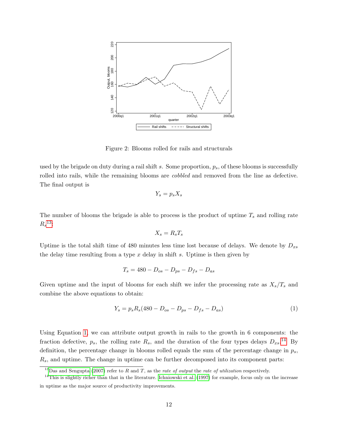

<span id="page-12-0"></span>Figure 2: Blooms rolled for rails and structurals

used by the brigade on duty during a rail shift s. Some proportion,  $p_s$ , of these blooms is successfully rolled into rails, while the remaining blooms are cobbled and removed from the line as defective. The final output is

$$
Y_s = p_s X_s
$$

The number of blooms the brigade is able to process is the product of uptime  $T_s$  and rolling rate  $R_s^{-13}$  $R_s^{-13}$  $R_s^{-13}$ :

$$
X_s = R_s T_s
$$

Uptime is the total shift time of 480 minutes less time lost because of delays. We denote by  $D_{xs}$ the delay time resulting from a type  $x$  delay in shift  $s$ . Uptime is then given by

$$
T_s = 480 - D_{os} - D_{ps} - D_{fs} - D_{as}
$$

Given uptime and the input of blooms for each shift we infer the processing rate as  $X_s/T_s$  and combine the above equations to obtain:

<span id="page-12-2"></span>
$$
Y_s = p_s R_s (480 - D_{os} - D_{ps} - D_{fs} - D_{as})
$$
\n(1)

Using Equation [1,](#page-12-2) we can attribute output growth in rails to the growth in 6 components: the fraction defective,  $p_s$ , the rolling rate  $R_s$ , and the duration of the four types delays  $D_{xs}$ .<sup>[14](#page-12-3)</sup> By definition, the percentage change in blooms rolled equals the sum of the percentage change in  $p_s$ ,  $R<sub>s</sub>$ , and uptime. The change in uptime can be further decomposed into its component parts:

<span id="page-12-3"></span><span id="page-12-1"></span> $^{13}$ [Das and Sengupta](#page-31-5) [\(2007\)](#page-31-5) refer to R and T, as the rate of output the rate of utilization respectively.

<sup>&</sup>lt;sup>14</sup>This is slightly richer than that in the literature. [Ichniowski et al.](#page-31-4) [\(1997\)](#page-31-4) for example, focus only on the increase in uptime as the major source of productivity improvements.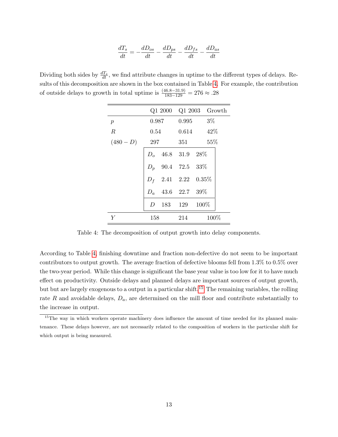$$
\frac{dT_s}{dt} = -\frac{dD_{os}}{dt} - \frac{dD_{ps}}{dt} - \frac{dD_{fs}}{dt} - \frac{dD_{as}}{dt}
$$

Dividing both sides by  $\frac{dT_s}{dt}$ , we find attribute changes in uptime to the different types of delays. Results of this decomposition are shown in the box contained in Table [4.](#page-13-0) For example, the contribution of outside delays to growth in total uptime is  $\frac{(46.8-31.9)}{183-129} = 276 \approx .28$ 

|                  |     | Q1 2000 Q1 2003 Growth |
|------------------|-----|------------------------|
| $\mathcal{p}$    |     | $0.987$ $0.995$ $3\%$  |
| $\boldsymbol{R}$ |     | $0.54$ $0.614$ $42\%$  |
| $(480 - D)$      | 297 | $351 \t 55\%$          |
|                  |     | $D_0$ 46.8 31.9 28\%   |
|                  |     | $D_p$ 90.4 72.5 33%    |
|                  |     | $D_f$ 2.41 2.22 0.35%  |
|                  |     | $D_a$ 43.6 22.7 39%    |
|                  |     | D 183 129 100\%        |
| Y                | 158 | 100%<br>214            |

<span id="page-13-0"></span>Table 4: The decomposition of output growth into delay components.

According to Table [4,](#page-13-0) finishing downtime and fraction non-defective do not seem to be important contributors to output growth. The average fraction of defective blooms fell from 1.3% to 0.5% over the two-year period. While this change is significant the base year value is too low for it to have much effect on productivity. Outside delays and planned delays are important sources of output growth, but but are largely exogenous to a output in a particular shift.<sup>[15](#page-13-1)</sup> The remaining variables, the rolling rate R and avoidable delays,  $D_a$ , are determined on the mill floor and contribute substantially to the increase in output.

<span id="page-13-1"></span><sup>&</sup>lt;sup>15</sup>The way in which workers operate machinery does influence the amount of time needed for its planned maintenance. These delays however, are not necessarily related to the composition of workers in the particular shift for which output is being measured.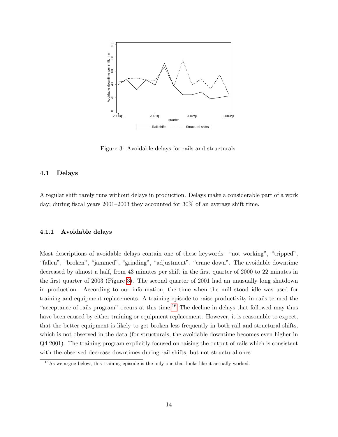

<span id="page-14-0"></span>Figure 3: Avoidable delays for rails and structurals

#### 4.1 Delays

A regular shift rarely runs without delays in production. Delays make a considerable part of a work day; during fiscal years 2001–2003 they accounted for 30% of an average shift time.

#### 4.1.1 Avoidable delays

Most descriptions of avoidable delays contain one of these keywords: "not working", "tripped", "fallen", "broken", "jammed", "grinding", "adjustment", "crane down". The avoidable downtime decreased by almost a half, from 43 minutes per shift in the first quarter of 2000 to 22 minutes in the first quarter of 2003 (Figure [3\)](#page-14-0). The second quarter of 2001 had an unusually long shutdown in production. According to our information, the time when the mill stood idle was used for training and equipment replacements. A training episode to raise productivity in rails termed the "acceptance of rails program" occurs at this time.<sup>[16](#page-14-1)</sup> The decline in delays that followed may thus have been caused by either training or equipment replacement. However, it is reasonable to expect, that the better equipment is likely to get broken less frequently in both rail and structural shifts, which is not observed in the data (for structurals, the avoidable downtime becomes even higher in Q4 2001). The training program explicitly focused on raising the output of rails which is consistent with the observed decrease downtimes during rail shifts, but not structural ones.

<span id="page-14-1"></span><sup>16</sup>As we argue below, this training episode is the only one that looks like it actually worked.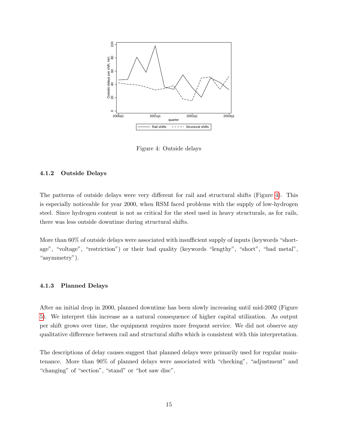

<span id="page-15-0"></span>Figure 4: Outside delays

#### 4.1.2 Outside Delays

The patterns of outside delays were very different for rail and structural shifts (Figure [4\)](#page-15-0). This is especially noticeable for year 2000, when RSM faced problems with the supply of low-hydrogen steel. Since hydrogen content is not as critical for the steel used in heavy structurals, as for rails, there was less outside downtime during structural shifts.

More than 60% of outside delays were associated with insufficient supply of inputs (keywords "shortage", "voltage", "restriction") or their bad quality (keywords "lengthy", "short", "bad metal", "asymmetry").

#### 4.1.3 Planned Delays

After an initial drop in 2000, planned downtime has been slowly increasing until mid-2002 (Figure [5\)](#page-16-0). We interpret this increase as a natural consequence of higher capital utilization. As output per shift grows over time, the equipment requires more frequent service. We did not observe any qualitative difference between rail and structural shifts which is consistent with this interpretation.

The descriptions of delay causes suggest that planned delays were primarily used for regular maintenance. More than 90% of planned delays were associated with "checking", "adjustment" and "changing" of "section", "stand" or "hot saw disc".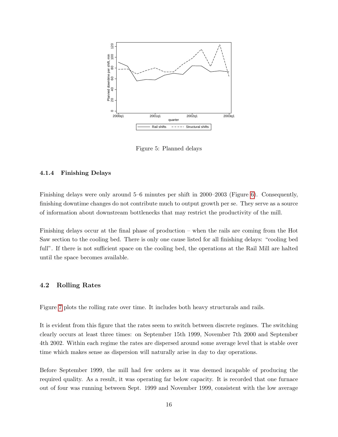

<span id="page-16-0"></span>Figure 5: Planned delays

#### 4.1.4 Finishing Delays

Finishing delays were only around 5–6 minutes per shift in 2000–2003 (Figure [6\)](#page-17-1). Consequently, finishing downtime changes do not contribute much to output growth per se. They serve as a source of information about downstream bottlenecks that may restrict the productivity of the mill.

Finishing delays occur at the final phase of production – when the rails are coming from the Hot Saw section to the cooling bed. There is only one cause listed for all finishing delays: "cooling bed full". If there is not sufficient space on the cooling bed, the operations at the Rail Mill are halted until the space becomes available.

#### 4.2 Rolling Rates

Figure [7](#page-17-0) plots the rolling rate over time. It includes both heavy structurals and rails.

It is evident from this figure that the rates seem to switch between discrete regimes. The switching clearly occurs at least three times: on September 15th 1999, November 7th 2000 and September 4th 2002. Within each regime the rates are dispersed around some average level that is stable over time which makes sense as dispersion will naturally arise in day to day operations.

Before September 1999, the mill had few orders as it was deemed incapable of producing the required quality. As a result, it was operating far below capacity. It is recorded that one furnace out of four was running between Sept. 1999 and November 1999, consistent with the low average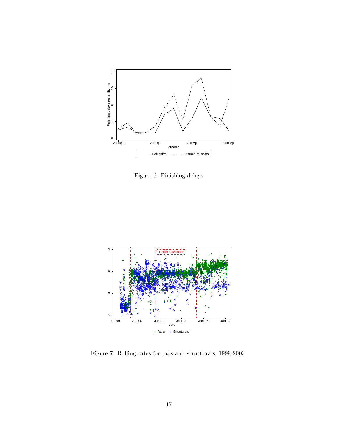

<span id="page-17-1"></span>Figure 6: Finishing delays



<span id="page-17-0"></span>Figure 7: Rolling rates for rails and structurals, 1999-2003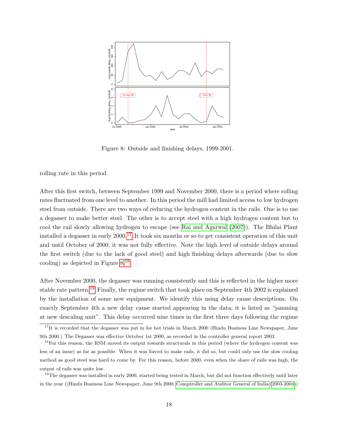

<span id="page-18-1"></span>Figure 8: Outside and finishing delays, 1999-2001.

rolling rate in this period.

After this first switch, between September 1999 and November 2000, there is a period where rolling rates fluctuated from one level to another. In this period the mill had limited access to low hydrogen steel from outside. There are two ways of reducing the hydrogen content in the rails. One is to use a degasser to make better steel. The other is to accept steel with a high hydrogen content but to cool the rail slowly allowing hydrogen to escape (see [Rai and Agarwal \(2007\)](#page-31-11)). The Bhilai Plant installed a degasser in early  $2000$ .<sup>[17](#page-18-0)</sup> It took six months or so to get consistent operation of this unit and until October of 2000, it was not fully effective. Note the high level of outside delays around the first switch (due to the lack of good steel) and high finishing delays afterwards (due to slow cooling) as depicted in Figure [8.](#page-18-1)[18](#page-18-2)

After November 2000, the degasser was running consistently and this is reflected in the higher more stable rate pattern.[19](#page-18-3) Finally, the regime switch that took place on September 4th 2002 is explained by the installation of some new equipment. We identify this using delay cause descriptions. On exactly September 4th a new delay cause started appearing in the data; it is listed as "jamming at new descaling unit". This delay occurred nine times in the first three days following the regime

<span id="page-18-3"></span> $19$ The degasser was installed in early 2000, started being tested in March, but did not function effectively until later in the year ((Hindu Business Line Newspaper, June 9th 2000, [Comptroller and Auditor General of India](#page-31-1) [\(2003-2004\)](#page-31-1))

<span id="page-18-0"></span> $17$ It is recorded that the degasser was put in for hot trials in March 2000 (Hindu Business Line Newspaper, June 9th 2000.) The Degasser was effective October 1st 2000, as recorded in the controller general report 2003.

<span id="page-18-2"></span><sup>&</sup>lt;sup>18</sup>For this reason, the RSM moved its output towards structurals in this period (where the hydrogen content was less of an issue) as far as possible. When it was forced to make rails, it did so, but could only use the slow cooling method as good steel was hard to come by. For this reason, before 2000, even when the share of rails was high, the output of rails was quite low.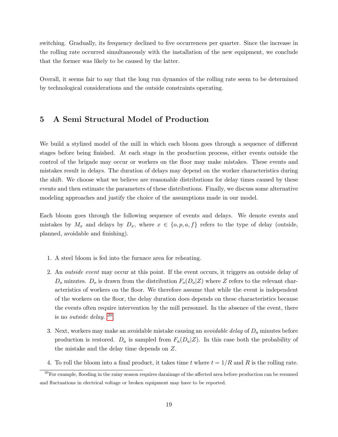switching. Gradually, its frequency declined to five occurrences per quarter. Since the increase in the rolling rate occurred simultaneously with the installation of the new equipment, we conclude that the former was likely to be caused by the latter.

Overall, it seems fair to say that the long run dynamics of the rolling rate seem to be determined by technological considerations and the outside constraints operating.

### <span id="page-19-1"></span>5 A Semi Structural Model of Production

We build a stylized model of the mill in which each bloom goes through a sequence of different stages before being finished. At each stage in the production process, either events outside the control of the brigade may occur or workers on the floor may make mistakes. These events and mistakes result in delays. The duration of delays may depend on the worker characteristics during the shift. We choose what we believe are reasonable distributions for delay times caused by these events and then estimate the parameters of these distributions. Finally, we discuss some alternative modeling approaches and justify the choice of the assumptions made in our model.

Each bloom goes through the following sequence of events and delays. We denote events and mistakes by  $M_x$  and delays by  $D_x$ , where  $x \in \{o, p, a, f\}$  refers to the type of delay (outside, planned, avoidable and finishing).

- 1. A steel bloom is fed into the furnace area for reheating.
- 2. An outside event may occur at this point. If the event occurs, it triggers an outside delay of  $D<sub>o</sub>$  minutes.  $D<sub>o</sub>$  is drawn from the distribution  $F<sub>o</sub>(D<sub>o</sub>|Z)$  where Z refers to the relevant characteristics of workers on the floor. We therefore assume that while the event is independent of the workers on the floor, the delay duration does depends on these characteristics because the events often require intervention by the mill personnel. In the absence of the event, there is no *outside delay*.  $20$
- 3. Next, workers may make an avoidable mistake causing an *avoidable delay* of  $D_a$  minutes before production is restored.  $D_a$  is sampled from  $F_a(D_a|Z)$ . In this case both the probability of the mistake and the delay time depends on Z.
- <span id="page-19-0"></span>4. To roll the bloom into a final product, it takes time t where  $t = 1/R$  and R is the rolling rate.

<sup>&</sup>lt;sup>20</sup>For example, flooding in the rainy season requires darainage of the affected area before production can be resumed and fluctuations in electrical voltage or broken equipment may have to be reported.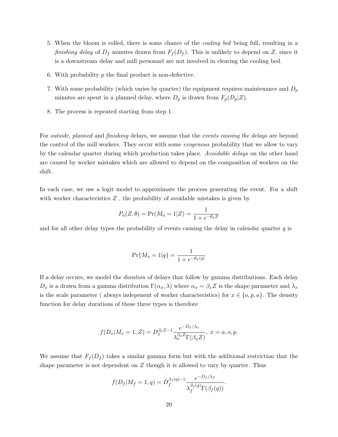- 5. When the bloom is rolled, there is some chance of the cooling bed being full, resulting in a finishing delay of  $D_f$  minutes drawn from  $F_f(D_f)$ . This is unlikely to depend on Z, since it is a downstream delay and mill personnel are not involved in clearing the cooling bed.
- 6. With probability  $p$  the final product is non-defective.
- 7. With some probability (which varies by quarter) the equipment requires maintenance and  $D_p$ minutes are spent in a planned delay, where  $D_p$  is drawn from  $F_p(D_p|Z)$ .
- <span id="page-20-0"></span>8. The process is repeated starting from step 1.

For *outside*, planned and finishing delays, we assume that the *events causing the delays* are beyond the control of the mill workers. They occur with some *exogenous* probability that we allow to vary by the calendar quarter during which production takes place. Avoidable delays on the other hand are caused by worker mistakes which are allowed to depend on the composition of workers on the shift.

In each case, we use a logit model to approximate the process generating the event. For a shift with worker characteristics  $Z$ , the probability of avoidable mistakes is given by

$$
P_a(Z, \theta) = Pr(M_a = 1|Z) = \frac{1}{1 + e^{-\theta_a Z}}
$$

and for all other delay types the probability of events causing the delay in calendar quarter  $q$  is

$$
\Pr\{M_x = 1|q\} = \frac{1}{1 + e^{-\theta_x(q)}}
$$

If a delay occurs, we model the duration of delays that follow by gamma distributions. Each delay  $D_x$  is a drawn from a gamma distribution  $\Gamma(\alpha_x, \lambda)$  where  $\alpha_x = \beta_x Z$  is the shape parameter and  $\lambda_x$ is the scale parameter ( always indepenent of worker characteristics) for  $x \in \{o, p, a\}$ . The density function for delay durations of these three types is therefore

$$
f(D_x|M_x = 1, Z) = D_x^{\beta_x Z - 1} \frac{e^{-D_x/\lambda_x}}{\lambda_x^{\beta_x Z} \Gamma(\beta_x Z)}, x = a, o, p.
$$

We assume that  $F_f(D_f)$  takes a similar gamma form but with the additional restriction that the shape parameter is not dependent on  $Z$  though it is allowed to vary by quarter. Thus

$$
f(D_f|M_f=1,q) = D_f^{\beta_f(q)-1} \frac{e^{-D_f/\lambda_f}}{\lambda_f^{\beta_f(q)} \Gamma(\beta_f(q))}.
$$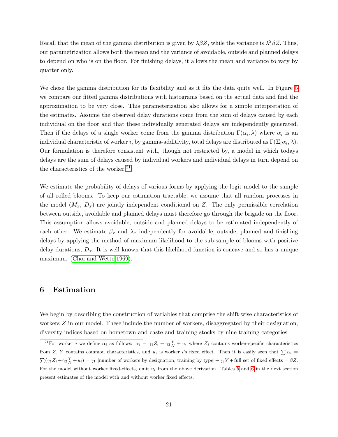Recall that the mean of the gamma distribution is given by  $\lambda\beta Z$ , while the variance is  $\lambda^2\beta Z$ . Thus, our parametrization allows both the mean and the variance of avoidable, outside and planned delays to depend on who is on the floor. For finishing delays, it allows the mean and variance to vary by quarter only.

We chose the gamma distribution for its flexibility and as it fits the data quite well. In Figure [5](#page-20-0) we compare our fitted gamma distributions with histograms based on the actual data and find the approximation to be very close. This parameterization also allows for a simple interpretation of the estimates. Assume the observed delay durations come from the sum of delays caused by each individual on the floor and that these individually generated delays are independently generated. Then if the delays of a single worker come from the gamma distribution  $\Gamma(\alpha_i, \lambda)$  where  $\alpha_i$  is an individual characteristic of worker i, by gamma-additivity, total delays are distributed as  $\Gamma(\Sigma_i\alpha_i,\lambda)$ . Our formulation is therefore consistent with, though not restricted by, a model in which todays delays are the sum of delays caused by individual workers and individual delays in turn depend on the characteristics of the worker. $21$ 

We estimate the probability of delays of various forms by applying the logit model to the sample of all rolled blooms. To keep our estimation tractable, we assume that all random processes in the model  $(M_x, D_x)$  are jointly independent conditional on Z. The only permissible correlation between outside, avoidable and planned delays must therefore go through the brigade on the floor. This assumption allows avoidable, outside and planned delays to be estimated independently of each other. We estimate  $\beta_x$  and  $\lambda_x$  independently for avoidable, outside, planned and finishing delays by applying the method of maximum likelihood to the sub-sample of blooms with positive delay durations,  $D_x$ . It is well known that this likelihood function is concave and so has a unique maximum. [\(Choi and Wette 1969\)](#page-31-12).

### <span id="page-21-0"></span>6 Estimation

We begin by describing the construction of variables that comprise the shift-wise characteristics of workers Z in our model. These include the number of workers, disaggregated by their designation, diversity indices based on hometown and caste and training stocks by nine training categories.

<span id="page-21-1"></span><sup>&</sup>lt;sup>21</sup>For worker *i* we define  $\alpha_i$  as follows:  $\alpha_i = \gamma_1 Z_i + \gamma_2 \frac{Y}{N} + u_i$  where  $Z_i$  contains worker-specific characteristics from Z, Y contains common characteristics, and  $u_i$  is worker i's fixed effect. Then it is easily seen that  $\sum \alpha_i =$  $\sum (\gamma_1 Z_i + \gamma_2 \frac{Y}{N} + u_i) = \gamma_1$  [number of workers by designation, training by type] +  $\gamma_2 Y$  + full set of fixed effects =  $\beta Z$ . For the model without worker fixed-effects, omit  $u_i$  from the above derivation. Tables [5](#page-25-0) and [6](#page-26-0) in the next section present estimates of the model with and without worker fixed effects.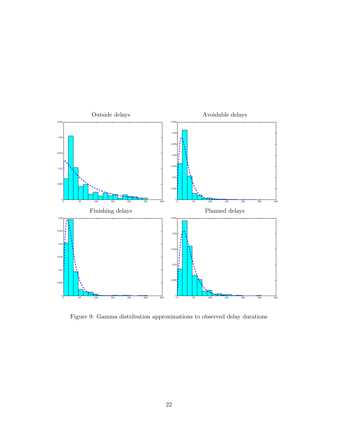

Figure 9: Gamma distribution approximations to observed delay durations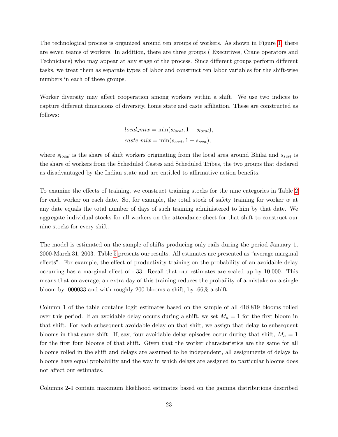The technological process is organized around ten groups of workers. As shown in Figure [1,](#page-7-0) there are seven teams of workers. In addition, there are three groups ( Executives, Crane operators and Technicians) who may appear at any stage of the process. Since different groups perform different tasks, we treat them as separate types of labor and construct ten labor variables for the shift-wise numbers in each of these groups.

Worker diversity may affect cooperation among workers within a shift. We use two indices to capture different dimensions of diversity, home state and caste affiliation. These are constructed as follows:

$$
local\_mix = \min(s_{local}, 1 - s_{local}),
$$
  

$$
case\_mix = \min(s_{scst}, 1 - s_{scst}),
$$

where  $s_{local}$  is the share of shift workers originating from the local area around Bhilai and  $s_{scst}$  is the share of workers from the Scheduled Castes and Scheduled Tribes, the two groups that declared as disadvantaged by the Indian state and are entitled to affirmative action benefits.

To examine the effects of training, we construct training stocks for the nine categories in Table [2](#page-10-0) for each worker on each date. So, for example, the total stock of safety training for worker  $w$  at any date equals the total number of days of such training administered to him by that date. We aggregate individual stocks for all workers on the attendance sheet for that shift to construct our nine stocks for every shift.

The model is estimated on the sample of shifts producing only rails during the period January 1, 2000-March 31, 2003. Table [5](#page-25-0) presents our results. All estimates are presented as "average marginal effects". For example, the effect of productivity training on the probability of an avoidable delay occurring has a marginal effect of -.33. Recall that our estimates are scaled up by 10,000. This means that on average, an extra day of this training reduces the probaility of a mistake on a single bloom by .000033 and with roughly 200 blooms a shift, by .66% a shift.

Column 1 of the table contains logit estimates based on the sample of all 418,819 blooms rolled over this period. If an avoidable delay occurs during a shift, we set  $M_a = 1$  for the first bloom in that shift. For each subsequent avoidable delay on that shift, we assign that delay to subsequent blooms in that same shift. If, say, four avoidable delay episodes occur during that shift,  $M_a = 1$ for the first four blooms of that shift. Given that the worker characteristics are the same for all blooms rolled in the shift and delays are assumed to be independent, all assignments of delays to blooms have equal probability and the way in which delays are assigned to particular blooms does not affect our estimates.

Columns 2-4 contain maximum likelihood estimates based on the gamma distributions described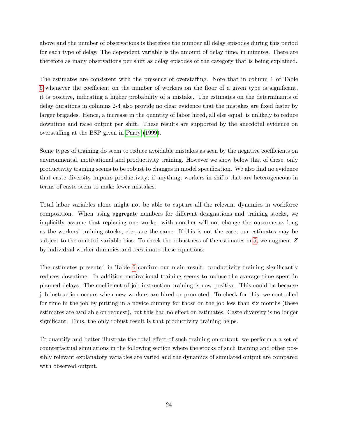above and the number of observations is therefore the number all delay episodes during this period for each type of delay. The dependent variable is the amount of delay time, in minutes. There are therefore as many observations per shift as delay episodes of the category that is being explained.

The estimates are consistent with the presence of overstaffing. Note that in column 1 of Table [5](#page-25-0) whenever the coefficient on the number of workers on the floor of a given type is significant, it is positive, indicating a higher probability of a mistake. The estimates on the determinants of delay durations in columns 2-4 also provide no clear evidence that the mistakes are fixed faster by larger brigades. Hence, a increase in the quantity of labor hired, all else equal, is unlikely to reduce downtime and raise output per shift. These results are supported by the anecdotal evidence on overstaffing at the BSP given in [Parry \(1999\)](#page-31-10).

Some types of training do seem to reduce avoidable mistakes as seen by the negative coefficients on environmental, motivational and productivity training. However we show below that of these, only productivity training seems to be robust to changes in model specification. We also find no evidence that caste diversity impairs productivity; if anything, workers in shifts that are heterogeneous in terms of caste seem to make fewer mistakes.

Total labor variables alone might not be able to capture all the relevant dynamics in workforce composition. When using aggregate numbers for different designations and training stocks, we implicitly assume that replacing one worker with another will not change the outcome as long as the workers' training stocks, etc., are the same. If this is not the case, our estimates may be subject to the omitted variable bias. To check the robustness of the estimates in [5,](#page-25-0) we augment Z by individual worker dummies and reestimate these equations.

The estimates presented in Table [6](#page-26-0) confirm our main result: productivity training significantly reduces downtime. In addition motivational training seems to reduce the average time spent in planned delays. The coefficient of job instruction training is now positive. This could be because job instruction occurs when new workers are hired or promoted. To check for this, we controlled for time in the job by putting in a novice dummy for those on the job less than six months (these estimates are available on request), but this had no effect on estimates. Caste diversity is no longer significant. Thus, the only robust result is that productivity training helps.

To quantify and better illustrate the total effect of such training on output, we perform a a set of counterfactual simulations in the following section where the stocks of such training and other possibly relevant explanatory variables are varied and the dynamics of simulated output are compared with observed output.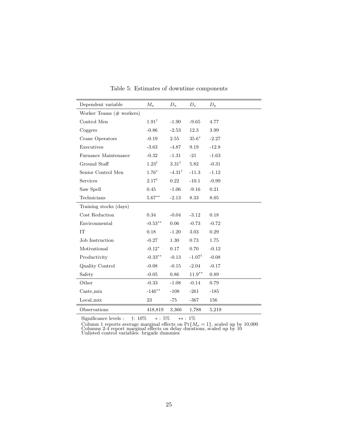| Dependent variable       | $M_a$            | $D_a$             | $D_{\alpha}$      | $D_p$   |
|--------------------------|------------------|-------------------|-------------------|---------|
| Worker Teams (# workers) |                  |                   |                   |         |
| Control Men              | $1.91^{\dagger}$ | $-1.90$           | $-9.65$           | 4.77    |
| Coggers                  | $-0.86$          | $-2.53$           | 12.3              | 3.99    |
| Crane Operators          | $-0.19$          | 2.55              | $35.6*$           | $-2.27$ |
| Executives               | $-3.63$          | $-4.87$           | 9.19              | $-12.8$ |
| Furnance Maintenance     | $-0.32$          | $-1.31$           | $-21$             | $-1.63$ |
| Ground Staff             | $1.23^{\dagger}$ | $3.31^{\dagger}$  | 5.82              | $-0.31$ |
| Senior Control Men       | $1.76*$          | $-4.31^{\dagger}$ | $-11.3$           | $-1.12$ |
| Services                 | $2.17^{\dagger}$ | 0.22              | $-10.1$           | $-0.99$ |
| Saw Spell                | 0.45             | $-1.06$           | $-9.16$           | 0.21    |
| Technicians              | $5.67***$        | $-2.13$           | 8.33              | 8.05    |
| Training stocks (days)   |                  |                   |                   |         |
| Cost Reduction           | 0.34             | $-0.04$           | $-3.12$           | 0.18    |
| Environmental            | $-0.53**$        | 0.06              | $-0.73$           | $-0.72$ |
| <b>IT</b>                | 0.18             | $-1.20$           | 3.03              | 0.29    |
| Job Instruction          | $-0.27$          | 1.30              | 0.73              | 1.75    |
| Motivational             | $-0.12*$         | 0.17              | 0.70              | $-0.12$ |
| Productivity             | $-0.33***$       | $-0.13$           | $-1.07^{\dagger}$ | $-0.08$ |
| Quality Control          | $-0.08$          | $-0.15$           | $-2.04$           | $-0.17$ |
| Safety                   | $-0.05$          | 0.86              | $11.9***$         | 0.89    |
| Other                    | $-0.33$          | $-1.08$           | $-0.14$           | 0.79    |
| $\text{Caste\_mix}$      | $-146**$         | $-108$            | $-261$            | $-185$  |
| Local_mix                | 23               | -75               | $-367$            | 156     |
| Observations             | 418,819          | 3,366             | 1,788             | 5,219   |

<span id="page-25-0"></span>Table 5: Estimates of downtime components

Significance levels : †: 10% ∗ : 5% ∗∗ : 1%

Column 1 reports average marginal effects on  $Pr{M_a = 1}$ , scaled up by 10,000 Columns 2-4 report marginal effects on delay durations, scaled up by 10 Unlisted control variables: brigade dummies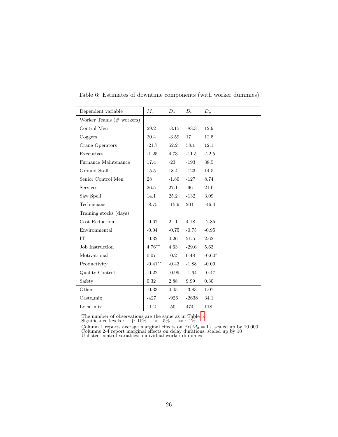| Dependent variable                  | $M_a$     | $D_a$   | D <sub>o</sub> | $D_p$    |
|-------------------------------------|-----------|---------|----------------|----------|
| Worker Teams $(\# \text{ workers})$ |           |         |                |          |
| Control Men                         | 29.2      | $-3.15$ | $-83.3$        | 12.9     |
| Coggers                             | 20.4      | $-3.59$ | 17             | 12.5     |
| Crane Operators                     | $-21.7$   | 52.2    | 58.1           | 12.1     |
| Executives                          | $-1.25$   | 4.73    | $-11.5$        | $-22.5$  |
| Furnance Maintenance                | 17.4      | $-23-$  | $-193$         | 38.5     |
| Ground Staff                        | 15.5      | 18.4    | $-123$         | 14.5     |
| Senior Control Men                  | 28        | $-1.80$ | $-127$         | 8.74     |
| Services                            | 26.5      | 27.1    | $-96$          | 21.6     |
| Saw Spell                           | 14.1      | 25.2    | $-132$         | 3.09     |
| Technicians                         | $-8.75$   | $-15.9$ | 201            | $-46.4$  |
| Training stocks (days)              |           |         |                |          |
| Cost Reduction                      | $-0.67$   | 2.11    | 4.18           | $-2.85$  |
| Environmental                       | $-0.04$   | $-0.75$ | $-0.75$        | $-0.95$  |
| IT                                  | $-0.32$   | 0.26    | 21.5           | 2.62     |
| Job Instruction                     | $4.76***$ | 4.63    | $-29.6$        | 5.63     |
| Motivational                        | 0.07      | $-0.21$ | 0.48           | $-0.60*$ |
| Productivity                        | $-0.41**$ | $-0.43$ | $-1.88$        | $-0.09$  |
| Quality Control                     | $-0.22$   | $-0.99$ | $-1.64$        | $-0.47$  |
| Safety                              | 0.32      | 2.88    | 9.99           | 0.30     |
| Other                               | $-0.33$   | 0.45    | $-3.83$        | $1.07\,$ |
| $\text{Caste\_mix}$                 | $-427$    | $-926$  | $-2638$        | 34.1     |
| Local_mix                           | 11.2      | $-50$   | 474            | 118      |

<span id="page-26-0"></span>Table 6: Estimates of downtime components (with worker dummies)

The number of observations are the same as in Table [5.](#page-25-0) Significance levels : †: 10% ∗ : 5% ∗∗ : 1%

Column 1 reports average marginal effects on  $Pr{M_a = 1}$ , scaled up by 10,000<br>Columns 2-4 report marginal effects on delay durations, scaled up by 10<br>Unlisted control variables: individual worker dummies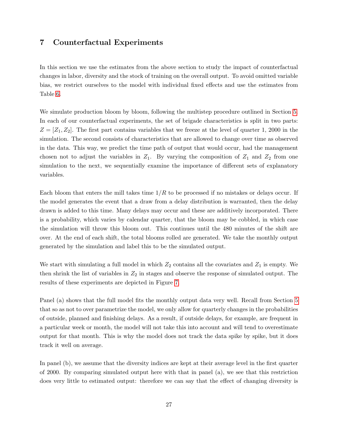### <span id="page-27-0"></span>7 Counterfactual Experiments

In this section we use the estimates from the above section to study the impact of counterfactual changes in labor, diversity and the stock of training on the overall output. To avoid omitted variable bias, we restrict ourselves to the model with individual fixed effects and use the estimates from Table [6.](#page-26-0)

We simulate production bloom by bloom, following the multistep procedure outlined in Section [5.](#page-19-1) In each of our counterfactual experiments, the set of brigade characteristics is split in two parts:  $Z = [Z_1, Z_2]$ . The first part contains variables that we freeze at the level of quarter 1, 2000 in the simulation. The second consists of characteristics that are allowed to change over time as observed in the data. This way, we predict the time path of output that would occur, had the management chosen not to adjust the variables in  $Z_1$ . By varying the composition of  $Z_1$  and  $Z_2$  from one simulation to the next, we sequentially examine the importance of different sets of explanatory variables.

Each bloom that enters the mill takes time  $1/R$  to be processed if no mistakes or delays occur. If the model generates the event that a draw from a delay distribution is warranted, then the delay drawn is added to this time. Many delays may occur and these are additively incorporated. There is a probability, which varies by calendar quarter, that the bloom may be cobbled, in which case the simulation will throw this bloom out. This continues until the 480 minutes of the shift are over. At the end of each shift, the total blooms rolled are generated. We take the monthly output generated by the simulation and label this to be the simulated output.

We start with simulating a full model in which  $Z_2$  contains all the covariates and  $Z_1$  is empty. We then shrink the list of variables in  $Z_2$  in stages and observe the response of simulated output. The results of these experiments are depicted in Figure [7.](#page-27-0)

Panel (a) shows that the full model fits the monthly output data very well. Recall from Section [5](#page-19-1) that so as not to over parametrize the model, we only allow for quarterly changes in the probabilities of outside, planned and finishing delays. As a result, if outside delays, for example, are frequent in a particular week or month, the model will not take this into account and will tend to overestimate output for that month. This is why the model does not track the data spike by spike, but it does track it well on average.

In panel (b), we assume that the diversity indices are kept at their average level in the first quarter of 2000. By comparing simulated output here with that in panel (a), we see that this restriction does very little to estimated output: therefore we can say that the effect of changing diversity is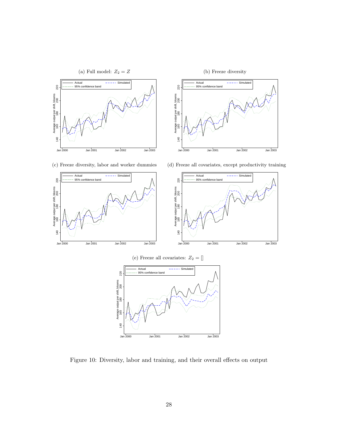

Figure 10: Diversity, labor and training, and their overall effects on output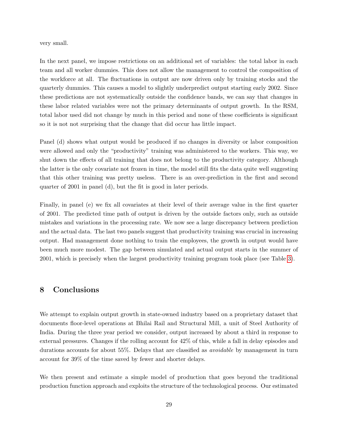very small.

In the next panel, we impose restrictions on an additional set of variables: the total labor in each team and all worker dummies. This does not allow the management to control the composition of the workforce at all. The fluctuations in output are now driven only by training stocks and the quarterly dummies. This causes a model to slightly underpredict output starting early 2002. Since these predictions are not systematically outside the confidence bands, we can say that changes in these labor related variables were not the primary determinants of output growth. In the RSM, total labor used did not change by much in this period and none of these coefficients is significant so it is not not surprising that the change that did occur has little impact.

Panel (d) shows what output would be produced if no changes in diversity or labor composition were allowed and only the "productivity" training was administered to the workers. This way, we shut down the effects of all training that does not belong to the productivity category. Although the latter is the only covariate not frozen in time, the model still fits the data quite well suggesting that this other training was pretty useless. There is an over-prediction in the first and second quarter of 2001 in panel (d), but the fit is good in later periods.

Finally, in panel (e) we fix all covariates at their level of their average value in the first quarter of 2001. The predicted time path of output is driven by the outside factors only, such as outside mistakes and variations in the processing rate. We now see a large discrepancy between prediction and the actual data. The last two panels suggest that productivity training was crucial in increasing output. Had management done nothing to train the employees, the growth in output would have been much more modest. The gap between simulated and actual output starts in the summer of 2001, which is precisely when the largest productivity training program took place (see Table [3\)](#page-10-1).

### 8 Conclusions

We attempt to explain output growth in state-owned industry based on a proprietary dataset that documents floor-level operations at Bhilai Rail and Structural Mill, a unit of Steel Authority of India. During the three year period we consider, output increased by about a third in response to external pressures. Changes if the rolling account for 42% of this, while a fall in delay episodes and durations accounts for about 55%. Delays that are classified as *avoidable* by management in turn account for 39% of the time saved by fewer and shorter delays.

We then present and estimate a simple model of production that goes beyond the traditional production function approach and exploits the structure of the technological process. Our estimated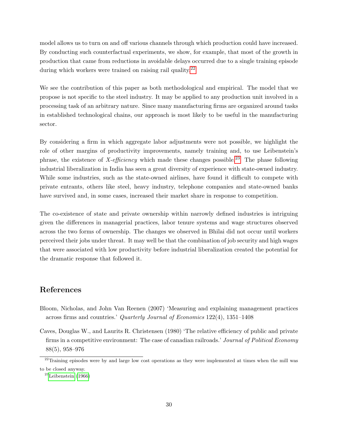model allows us to turn on and off various channels through which production could have increased. By conducting such counterfactual experiments, we show, for example, that most of the growth in production that came from reductions in avoidable delays occurred due to a single training episode during which workers were trained on raising rail quality.<sup>[22](#page-30-2)</sup>

We see the contribution of this paper as both methodological and empirical. The model that we propose is not specific to the steel industry. It may be applied to any production unit involved in a processing task of an arbitrary nature. Since many manufacturing firms are organized around tasks in established technological chains, our approach is most likely to be useful in the manufacturing sector.

By considering a firm in which aggregate labor adjustments were not possible, we highlight the role of other margins of productivity improvements, namely training and, to use Leibenstein's phrase, the existence of X-efficiency which made these changes possible.<sup>[23](#page-30-3)</sup> The phase following industrial liberalization in India has seen a great diversity of experience with state-owned industry. While some industries, such as the state-owned airlines, have found it difficult to compete with private entrants, others like steel, heavy industry, telephone companies and state-owned banks have survived and, in some cases, increased their market share in response to competition.

The co-existence of state and private ownership within narrowly defined industries is intriguing given the differences in managerial practices, labor tenure systems and wage structures observed across the two forms of ownership. The changes we observed in Bhilai did not occur until workers perceived their jobs under threat. It may well be that the combination of job security and high wages that were associated with low productivity before industrial liberalization created the potential for the dramatic response that followed it.

### References

- <span id="page-30-0"></span>Bloom, Nicholas, and John Van Reenen (2007) 'Measuring and explaining management practices across firms and countries.' Quarterly Journal of Economics 122(4), 1351–1408
- <span id="page-30-1"></span>Caves, Douglas W., and Laurits R. Christensen (1980) 'The relative efficiency of public and private firms in a competitive environment: The case of canadian railroads.' Journal of Political Economy 88(5), 958–976

<span id="page-30-2"></span><sup>&</sup>lt;sup>22</sup>Training episodes were by and large low cost operations as they were implemented at times when the mill was to be closed anyway.

<span id="page-30-3"></span> $23$ [Leibenstein](#page-31-13) [\(1966\)](#page-31-13)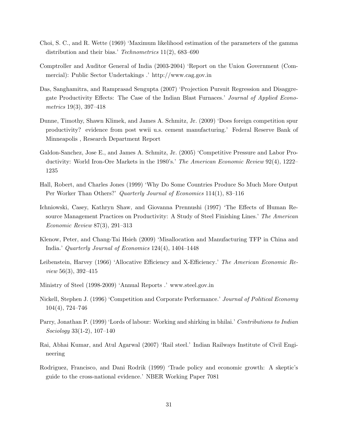- <span id="page-31-12"></span>Choi, S. C., and R. Wette (1969) 'Maximum likelihood estimation of the parameters of the gamma distribution and their bias.' Technometrics 11(2), 683–690
- <span id="page-31-1"></span>Comptroller and Auditor General of India (2003-2004) 'Report on the Union Government (Commercial): Public Sector Undertakings .' http://www.cag.gov.in
- <span id="page-31-5"></span>Das, Sanghamitra, and Ramprasad Sengupta (2007) 'Projection Pursuit Regression and Disaggregate Productivity Effects: The Case of the Indian Blast Furnaces.' Journal of Applied Econometrics 19(3), 397–418
- <span id="page-31-9"></span>Dunne, Timothy, Shawn Klimek, and James A. Schmitz, Jr. (2009) 'Does foreign competition spur productivity? evidence from post wwii u.s. cement manufacturing.' Federal Reserve Bank of Minneapolis , Research Department Report
- <span id="page-31-6"></span>Galdon-Sanchez, Jose E., and James A. Schmitz, Jr. (2005) 'Competitive Pressure and Labor Productivity: World Iron-Ore Markets in the 1980's.' The American Economic Review 92(4), 1222– 1235
- <span id="page-31-2"></span>Hall, Robert, and Charles Jones (1999) 'Why Do Some Countries Produce So Much More Output Per Worker Than Others?' Quarterly Journal of Economics 114(1), 83–116
- <span id="page-31-4"></span>Ichniowski, Casey, Kathryn Shaw, and Giovanna Prennushi (1997) 'The Effects of Human Resource Management Practices on Productivity: A Study of Steel Finishing Lines.' The American Economic Review 87(3), 291–313
- <span id="page-31-3"></span>Klenow, Peter, and Chang-Tai Hsieh (2009) 'Misallocation and Manufacturing TFP in China and India.' Quarterly Journal of Economics 124(4), 1404–1448
- <span id="page-31-13"></span>Leibenstein, Harvey (1966) 'Allocative Efficiency and X-Efficiency.' The American Economic Review 56(3), 392–415
- <span id="page-31-0"></span>Ministry of Steel (1998-2009) 'Annual Reports .' www.steel.gov.in
- <span id="page-31-7"></span>Nickell, Stephen J. (1996) 'Competition and Corporate Performance.' Journal of Political Economy 104(4), 724–746
- <span id="page-31-10"></span>Parry, Jonathan P. (1999) 'Lords of labour: Working and shirking in bhilai.' Contributions to Indian Sociology 33(1-2), 107–140
- <span id="page-31-11"></span>Rai, Abhai Kumar, and Atul Agarwal (2007) 'Rail steel.' Indian Railways Institute of Civil Engineering
- <span id="page-31-8"></span>Rodriguez, Francisco, and Dani Rodrik (1999) 'Trade policy and economic growth: A skeptic's guide to the cross-national evidence.' NBER Working Paper 7081